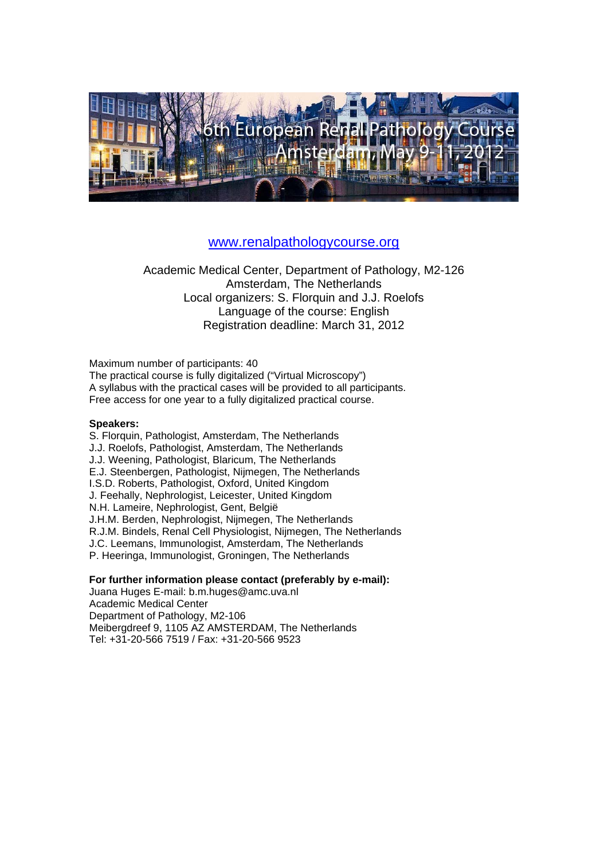

### www.renalpathologycourse.org

Academic Medical Center, Department of Pathology, M2-126 Amsterdam, The Netherlands Local organizers: S. Florquin and J.J. Roelofs Language of the course: English Registration deadline: March 31, 2012

Maximum number of participants: 40 The practical course is fully digitalized ("Virtual Microscopy") A syllabus with the practical cases will be provided to all participants. Free access for one year to a fully digitalized practical course.

#### **Speakers:**

S. Florquin, Pathologist, Amsterdam, The Netherlands J.J. Roelofs, Pathologist, Amsterdam, The Netherlands J.J. Weening, Pathologist, Blaricum, The Netherlands E.J. Steenbergen, Pathologist, Nijmegen, The Netherlands I.S.D. Roberts, Pathologist, Oxford, United Kingdom J. Feehally, Nephrologist, Leicester, United Kingdom N.H. Lameire, Nephrologist, Gent, België J.H.M. Berden, Nephrologist, Nijmegen, The Netherlands R.J.M. Bindels, Renal Cell Physiologist, Nijmegen, The Netherlands J.C. Leemans, Immunologist, Amsterdam, The Netherlands P. Heeringa, Immunologist, Groningen, The Netherlands

**For further information please contact (preferably by e-mail):**  Juana Huges E-mail: b.m.huges@amc.uva.nl Academic Medical Center Department of Pathology, M2-106 Meibergdreef 9, 1105 AZ AMSTERDAM, The Netherlands Tel: +31-20-566 7519 / Fax: +31-20-566 9523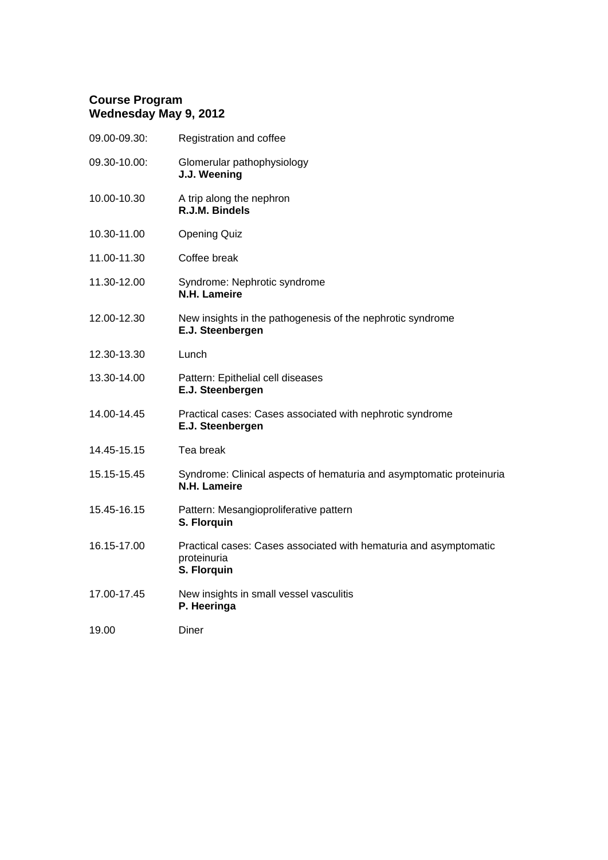### **Course Program Wednesday May 9, 2012**

| Registration and coffee                                                                         |
|-------------------------------------------------------------------------------------------------|
| Glomerular pathophysiology<br>J.J. Weening                                                      |
| A trip along the nephron<br>R.J.M. Bindels                                                      |
| <b>Opening Quiz</b>                                                                             |
| Coffee break                                                                                    |
| Syndrome: Nephrotic syndrome<br>N.H. Lameire                                                    |
| New insights in the pathogenesis of the nephrotic syndrome<br>E.J. Steenbergen                  |
| Lunch                                                                                           |
| Pattern: Epithelial cell diseases<br>E.J. Steenbergen                                           |
| Practical cases: Cases associated with nephrotic syndrome<br>E.J. Steenbergen                   |
| Tea break                                                                                       |
| Syndrome: Clinical aspects of hematuria and asymptomatic proteinuria<br>N.H. Lameire            |
| Pattern: Mesangioproliferative pattern<br>S. Florquin                                           |
| Practical cases: Cases associated with hematuria and asymptomatic<br>proteinuria<br>S. Florquin |
| New insights in small vessel vasculitis<br>P. Heeringa                                          |
| Diner                                                                                           |
|                                                                                                 |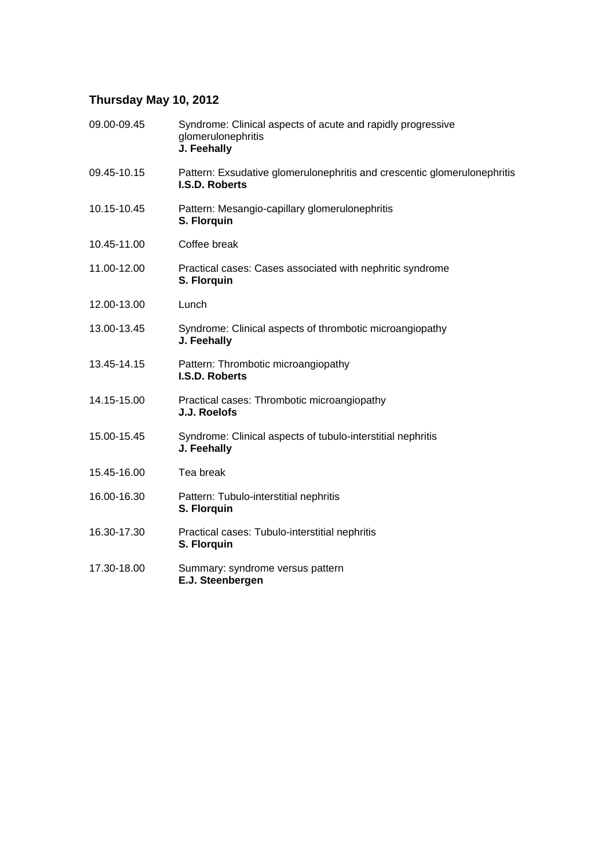# **Thursday May 10, 2012**

| 09.00-09.45 | Syndrome: Clinical aspects of acute and rapidly progressive<br>glomerulonephritis<br>J. Feehally |
|-------------|--------------------------------------------------------------------------------------------------|
| 09.45-10.15 | Pattern: Exsudative glomerulonephritis and crescentic glomerulonephritis<br>I.S.D. Roberts       |
| 10.15-10.45 | Pattern: Mesangio-capillary glomerulonephritis<br>S. Florquin                                    |
| 10.45-11.00 | Coffee break                                                                                     |
| 11.00-12.00 | Practical cases: Cases associated with nephritic syndrome<br>S. Florquin                         |
| 12.00-13.00 | Lunch                                                                                            |
| 13.00-13.45 | Syndrome: Clinical aspects of thrombotic microangiopathy<br>J. Feehally                          |
| 13.45-14.15 | Pattern: Thrombotic microangiopathy<br>I.S.D. Roberts                                            |
| 14.15-15.00 | Practical cases: Thrombotic microangiopathy<br>J.J. Roelofs                                      |
| 15.00-15.45 | Syndrome: Clinical aspects of tubulo-interstitial nephritis<br>J. Feehally                       |
| 15.45-16.00 | Tea break                                                                                        |
| 16.00-16.30 | Pattern: Tubulo-interstitial nephritis<br>S. Florquin                                            |
| 16.30-17.30 | Practical cases: Tubulo-interstitial nephritis<br>S. Florquin                                    |
| 17.30-18.00 | Summary: syndrome versus pattern<br>E.J. Steenbergen                                             |